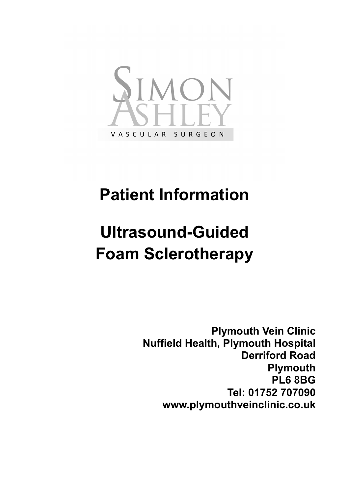

## **Patient Information**

## **Ultrasound-Guided Foam Sclerotherapy**

**Plymouth Vein Clinic Nuffield Health, Plymouth Hospital Derriford Road Plymouth PL6 8BG Tel: 01752 707090 www.plymouthveinclinic.co.uk**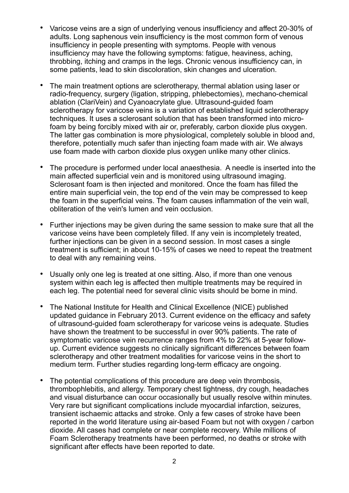- Varicose veins are a sign of underlying venous insufficiency and affect 20-30% of adults. Long saphenous vein insufficiency is the most common form of venous insufficiency in people presenting with symptoms. People with venous insufficiency may have the following symptoms: fatigue, heaviness, aching, throbbing, itching and cramps in the legs. Chronic venous insufficiency can, in some patients, lead to skin discoloration, skin changes and ulceration.
- The main treatment options are sclerotherapy, thermal ablation using laser or radio-frequency, surgery (ligation, stripping, phlebectomies), mechano-chemical ablation (ClariVein) and Cyanoacrylate glue. Ultrasound-guided foam sclerotherapy for varicose veins is a variation of established liquid sclerotherapy techniques. It uses a sclerosant solution that has been transformed into microfoam by being forcibly mixed with air or, preferably, carbon dioxide plus oxygen. The latter gas combination is more physiological, completely soluble in blood and, therefore, potentially much safer than injecting foam made with air. We always use foam made with carbon dioxide plus oxygen unlike many other clinics.
- The procedure is performed under local anaesthesia. A needle is inserted into the main affected superficial vein and is monitored using ultrasound imaging. Sclerosant foam is then injected and monitored. Once the foam has filled the entire main superficial vein, the top end of the vein may be compressed to keep the foam in the superficial veins. The foam causes inflammation of the vein wall, obliteration of the vein's lumen and vein occlusion.
- Further injections may be given during the same session to make sure that all the varicose veins have been completely filled. If any vein is incompletely treated, further injections can be given in a second session. In most cases a single treatment is sufficient; in about 10-15% of cases we need to repeat the treatment to deal with any remaining veins.
- Usually only one leg is treated at one sitting. Also, if more than one venous system within each leg is affected then multiple treatments may be required in each leg. The potential need for several clinic visits should be borne in mind.
- The National Institute for Health and Clinical Excellence (NICE) published updated guidance in February 2013. Current evidence on the efficacy and safety of ultrasound-guided foam sclerotherapy for varicose veins is adequate. Studies have shown the treatment to be successful in over 90% patients. The rate of symptomatic varicose vein recurrence ranges from 4% to 22% at 5-year followup. Current evidence suggests no clinically significant differences between foam sclerotherapy and other treatment modalities for varicose veins in the short to medium term. Further studies regarding long-term efficacy are ongoing.
- The potential complications of this procedure are deep vein thrombosis, thrombophlebitis, and allergy. Temporary chest tightness, dry cough, headaches and visual disturbance can occur occasionally but usually resolve within minutes. Very rare but significant complications include myocardial infarction, seizures, transient ischaemic attacks and stroke. Only a few cases of stroke have been reported in the world literature using air-based Foam but not with oxygen / carbon dioxide. All cases had complete or near complete recovery. While millions of Foam Sclerotherapy treatments have been performed, no deaths or stroke with significant after effects have been reported to date.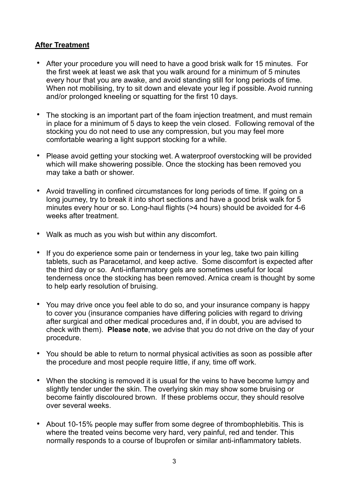## **After Treatment**

- After your procedure you will need to have a good brisk walk for 15 minutes. For the first week at least we ask that you walk around for a minimum of 5 minutes every hour that you are awake, and avoid standing still for long periods of time. When not mobilising, try to sit down and elevate your leg if possible. Avoid running and/or prolonged kneeling or squatting for the first 10 days.
- The stocking is an important part of the foam injection treatment, and must remain in place for a minimum of 5 days to keep the vein closed. Following removal of the stocking you do not need to use any compression, but you may feel more comfortable wearing a light support stocking for a while.
- Please avoid getting your stocking wet. A waterproof overstocking will be provided which will make showering possible. Once the stocking has been removed you may take a bath or shower.
- Avoid travelling in confined circumstances for long periods of time. If going on a long journey, try to break it into short sections and have a good brisk walk for 5 minutes every hour or so. Long-haul flights (>4 hours) should be avoided for 4-6 weeks after treatment.
- Walk as much as you wish but within any discomfort.
- If you do experience some pain or tenderness in your leg, take two pain killing tablets, such as Paracetamol, and keep active. Some discomfort is expected after the third day or so. Anti-inflammatory gels are sometimes useful for local tenderness once the stocking has been removed. Arnica cream is thought by some to help early resolution of bruising.
- You may drive once you feel able to do so, and your insurance company is happy to cover you (insurance companies have differing policies with regard to driving after surgical and other medical procedures and, if in doubt, you are advised to check with them). **Please note**, we advise that you do not drive on the day of your procedure.
- You should be able to return to normal physical activities as soon as possible after the procedure and most people require little, if any, time off work.
- When the stocking is removed it is usual for the veins to have become lumpy and slightly tender under the skin. The overlying skin may show some bruising or become faintly discoloured brown. If these problems occur, they should resolve over several weeks.
- About 10-15% people may suffer from some degree of thrombophlebitis. This is where the treated veins become very hard, very painful, red and tender. This normally responds to a course of Ibuprofen or similar anti-inflammatory tablets.